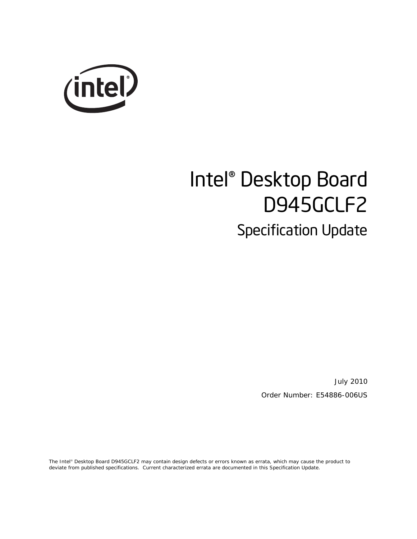

# Intel® Desktop Board D945GCLF2 Specification Update

July 2010 Order Number: E54886-006US

The Intel® Desktop Board D945GCLF2 may contain design defects or errors known as errata, which may cause the product to deviate from published specifications. Current characterized errata are documented in this Specification Update.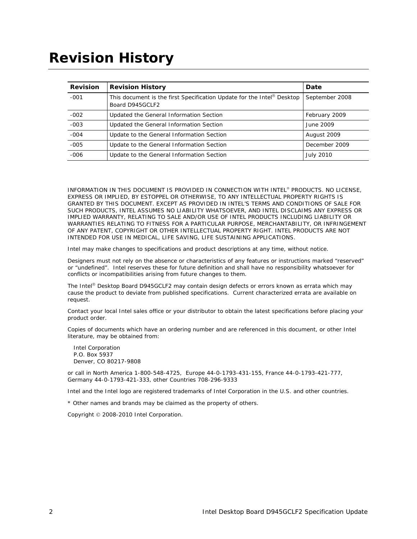## **Revision History**

| <b>Revision</b> | <b>Revision History</b>                                                                   | Date             |
|-----------------|-------------------------------------------------------------------------------------------|------------------|
| $-001$          | This document is the first Specification Update for the Intel® Desktop<br>Board D945GCLF2 | September 2008   |
| $-002$          | Updated the General Information Section                                                   | February 2009    |
| $-003$          | Updated the General Information Section                                                   | June 2009        |
| $-004$          | Update to the General Information Section                                                 | August 2009      |
| $-005$          | Update to the General Information Section                                                 | December 2009    |
| $-006$          | Update to the General Information Section                                                 | <b>July 2010</b> |

INFORMATION IN THIS DOCUMENT IS PROVIDED IN CONNECTION WITH INTEL® PRODUCTS. NO LICENSE, EXPRESS OR IMPLIED, BY ESTOPPEL OR OTHERWISE, TO ANY INTELLECTUAL PROPERTY RIGHTS IS GRANTED BY THIS DOCUMENT. EXCEPT AS PROVIDED IN INTEL'S TERMS AND CONDITIONS OF SALE FOR SUCH PRODUCTS, INTEL ASSUMES NO LIABILITY WHATSOEVER, AND INTEL DISCLAIMS ANY EXPRESS OR IMPLIED WARRANTY, RELATING TO SALE AND/OR USE OF INTEL PRODUCTS INCLUDING LIABILITY OR WARRANTIES RELATING TO FITNESS FOR A PARTICULAR PURPOSE, MERCHANTABILITY, OR INFRINGEMENT OF ANY PATENT, COPYRIGHT OR OTHER INTELLECTUAL PROPERTY RIGHT. INTEL PRODUCTS ARE NOT INTENDED FOR USE IN MEDICAL, LIFE SAVING, LIFE SUSTAINING APPLICATIONS.

Intel may make changes to specifications and product descriptions at any time, without notice.

Designers must not rely on the absence or characteristics of any features or instructions marked "reserved" or "undefined". Intel reserves these for future definition and shall have no responsibility whatsoever for conflicts or incompatibilities arising from future changes to them.

The Intel® Desktop Board D945GCLF2 may contain design defects or errors known as errata which may cause the product to deviate from published specifications. Current characterized errata are available on request.

Contact your local Intel sales office or your distributor to obtain the latest specifications before placing your product order.

Copies of documents which have an ordering number and are referenced in this document, or other Intel literature, may be obtained from:

 Intel Corporation P.O. Box 5937 Denver, CO 80217-9808

or call in North America 1-800-548-4725, Europe 44-0-1793-431-155, France 44-0-1793-421-777, Germany 44-0-1793-421-333, other Countries 708-296-9333

Intel and the Intel logo are registered trademarks of Intel Corporation in the U.S. and other countries.

\* Other names and brands may be claimed as the property of others.

Copyright © 2008-2010 Intel Corporation.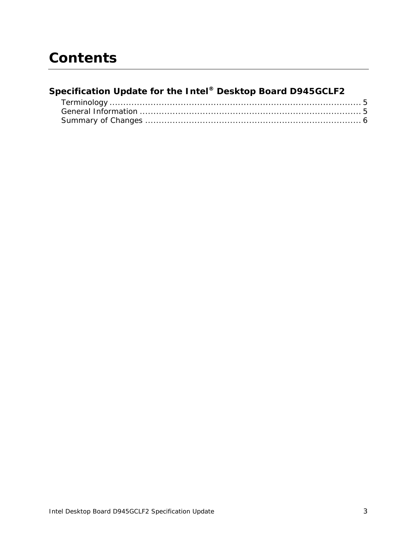# **Contents**

#### **Specification Update for the Intel® Desktop Board D945GCLF2**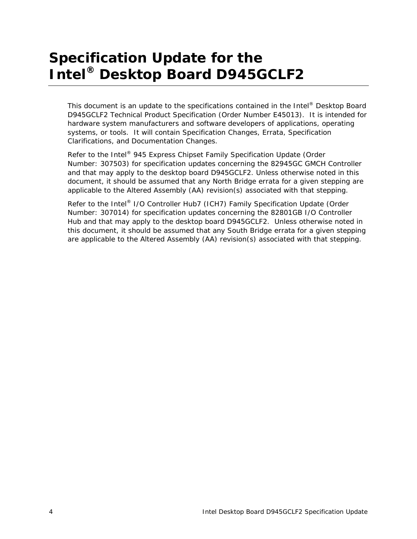# **Specification Update for the Intel® Desktop Board D945GCLF2**

This document is an update to the specifications contained in the Intel® Desktop Board D945GCLF2 Technical Product Specification (Order Number E45013). It is intended for hardware system manufacturers and software developers of applications, operating systems, or tools. It will contain Specification Changes, Errata, Specification Clarifications, and Documentation Changes.

Refer to the Intel® 945 Express Chipset Family Specification Update (Order Number: 307503) for specification updates concerning the 82945GC GMCH Controller and that may apply to the desktop board D945GCLF2. Unless otherwise noted in this document, it should be assumed that any North Bridge errata for a given stepping are applicable to the Altered Assembly (AA) revision(s) associated with that stepping.

Refer to the Intel® I/O Controller Hub7 (ICH7) Family Specification Update (Order Number: 307014) for specification updates concerning the 82801GB I/O Controller Hub and that may apply to the desktop board D945GCLF2. Unless otherwise noted in this document, it should be assumed that any South Bridge errata for a given stepping are applicable to the Altered Assembly (AA) revision(s) associated with that stepping.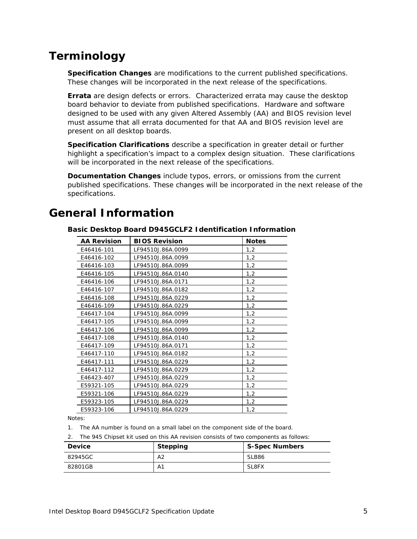### <span id="page-4-0"></span>**Terminology**

**Specification Changes** are modifications to the current published specifications. These changes will be incorporated in the next release of the specifications.

**Errata** are design defects or errors. Characterized errata may cause the desktop board behavior to deviate from published specifications. Hardware and software designed to be used with any given Altered Assembly (AA) and BIOS revision level must assume that all errata documented for that AA and BIOS revision level are present on all desktop boards.

**Specification Clarifications** describe a specification in greater detail or further highlight a specification's impact to a complex design situation. These clarifications will be incorporated in the next release of the specifications.

**Documentation Changes** include typos, errors, or omissions from the current published specifications. These changes will be incorporated in the next release of the specifications.

| <b>AA Revision</b> | <b>BIOS Revision</b> | <b>Notes</b> |  |
|--------------------|----------------------|--------------|--|
| E46416-101         | LF94510J.86A.0099    | 1,2          |  |
| E46416-102         | LF94510J.86A.0099    | 1,2          |  |
| E46416-103         | LF94510J.86A.0099    | 1,2          |  |
| E46416-105         | LF94510J.86A.0140    | 1,2          |  |
| E46416-106         | LF94510J.86A.0171    | 1,2          |  |
| E46416-107         | LF94510J.86A.0182    | 1,2          |  |
| E46416-108         | LF94510J.86A.0229    | 1,2          |  |
| E46416-109         | LF94510J.86A.0229    | 1,2          |  |
| E46417-104         | LF94510J.86A.0099    | 1,2          |  |
| E46417-105         | LF94510J.86A.0099    | 1,2          |  |
| E46417-106         | LF94510J.86A.0099    | 1,2          |  |
| E46417-108         | LF94510J.86A.0140    | 1,2          |  |
| E46417-109         | LF94510J.86A.0171    | 1,2          |  |
| E46417-110         | LF94510J.86A.0182    | 1,2          |  |
| E46417-111         | LF94510J.86A.0229    | 1,2          |  |
| E46417-112         | LF94510J.86A.0229    | 1,2          |  |
| E46423-407         | LF94510J.86A.0229    | 1,2          |  |
| E59321-105         | LF94510J.86A.0229    | 1,2          |  |
| E59321-106         | LF94510J.86A.0229    | 1,2          |  |
| E59323-105         | LF94510J.86A.0229    | 1,2          |  |
| E59323-106         | LF94510J.86A.0229    | 1,2          |  |

#### <span id="page-4-1"></span>**General Information**

**Basic Desktop Board D945GCLF2 Identification Information** 

Notes:

1. The AA number is found on a small label on the component side of the board.

2. The 945 Chipset kit used on this AA revision consists of two components as follows:

| <b>Device</b> | <b>Stepping</b> | <b>S-Spec Numbers</b> |
|---------------|-----------------|-----------------------|
| 82945GC       | А2              | SLB86                 |
| 82801GB       | A1              | SL8FX                 |